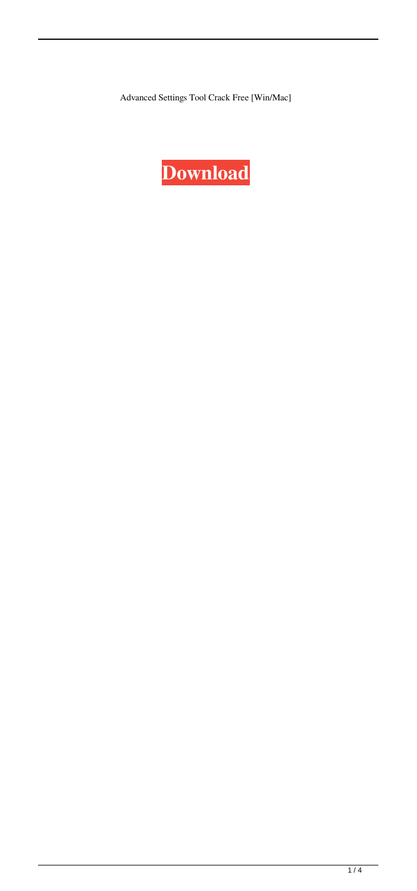Advanced Settings Tool Crack Free [Win/Mac]

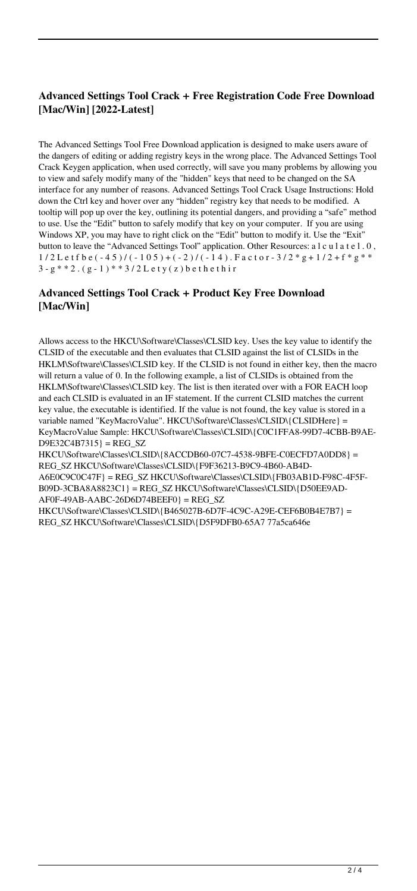### **Advanced Settings Tool Crack + Free Registration Code Free Download [Mac/Win] [2022-Latest]**

The Advanced Settings Tool Free Download application is designed to make users aware of the dangers of editing or adding registry keys in the wrong place. The Advanced Settings Tool Crack Keygen application, when used correctly, will save you many problems by allowing you to view and safely modify many of the "hidden" keys that need to be changed on the SA interface for any number of reasons. Advanced Settings Tool Crack Usage Instructions: Hold down the Ctrl key and hover over any "hidden" registry key that needs to be modified. A tooltip will pop up over the key, outlining its potential dangers, and providing a "safe" method to use. Use the "Edit" button to safely modify that key on your computer. If you are using Windows XP, you may have to right click on the "Edit" button to modify it. Use the "Exit" button to leave the "Advanced Settings Tool" application. Other Resources: a l c u l a t e l . 0 ,  $1/2$  L e t f b e  $(-45)$  /  $(-105)$  +  $(-2)$  /  $(-14)$ . F a c t o r - 3/2 \* g + 1/2 + f \* g \* \* 3 -  $g$  \* \* 2 .  $(g - 1)$  \* \* 3 / 2 L e t y ( z ) b e t h e t h i r

### **Advanced Settings Tool Crack + Product Key Free Download [Mac/Win]**

Allows access to the HKCU\Software\Classes\CLSID key. Uses the key value to identify the CLSID of the executable and then evaluates that CLSID against the list of CLSIDs in the HKLM\Software\Classes\CLSID key. If the CLSID is not found in either key, then the macro will return a value of 0. In the following example, a list of CLSIDs is obtained from the HKLM\Software\Classes\CLSID key. The list is then iterated over with a FOR EACH loop and each CLSID is evaluated in an IF statement. If the current CLSID matches the current key value, the executable is identified. If the value is not found, the key value is stored in a variable named "KeyMacroValue". HKCU\Software\Classes\CLSID\{CLSIDHere} = KeyMacroValue Sample: HKCU\Software\Classes\CLSID\{C0C1FFA8-99D7-4CBB-B9AE- $D9E32C4B7315$  = REG SZ

HKCU\Software\Classes\CLSID\{8ACCDB60-07C7-4538-9BFE-C0ECFD7A0DD8} = REG\_SZ HKCU\Software\Classes\CLSID\{F9F36213-B9C9-4B60-AB4D-A6E0C9C0C47F} = REG\_SZ HKCU\Software\Classes\CLSID\{FB03AB1D-F98C-4F5F-B09D-3CBA8A8823C1} = REG\_SZ HKCU\Software\Classes\CLSID\{D50EE9AD- $AF0F-49AB-AABC-26D6D74BEEF0$  = REG SZ

HKCU\Software\Classes\CLSID\{B465027B-6D7F-4C9C-A29E-CEF6B0B4E7B7} = REG\_SZ HKCU\Software\Classes\CLSID\{D5F9DFB0-65A7 77a5ca646e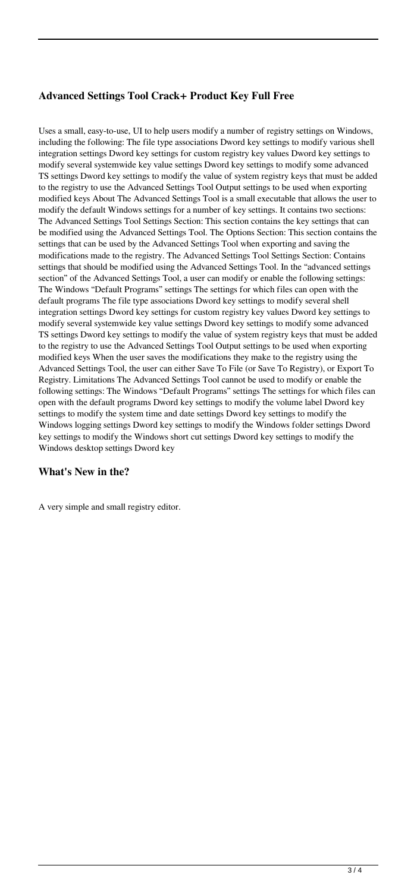# **Advanced Settings Tool Crack+ Product Key Full Free**

Uses a small, easy-to-use, UI to help users modify a number of registry settings on Windows, including the following: The file type associations Dword key settings to modify various shell integration settings Dword key settings for custom registry key values Dword key settings to modify several systemwide key value settings Dword key settings to modify some advanced TS settings Dword key settings to modify the value of system registry keys that must be added to the registry to use the Advanced Settings Tool Output settings to be used when exporting modified keys About The Advanced Settings Tool is a small executable that allows the user to modify the default Windows settings for a number of key settings. It contains two sections: The Advanced Settings Tool Settings Section: This section contains the key settings that can be modified using the Advanced Settings Tool. The Options Section: This section contains the settings that can be used by the Advanced Settings Tool when exporting and saving the modifications made to the registry. The Advanced Settings Tool Settings Section: Contains settings that should be modified using the Advanced Settings Tool. In the "advanced settings section" of the Advanced Settings Tool, a user can modify or enable the following settings: The Windows "Default Programs" settings The settings for which files can open with the default programs The file type associations Dword key settings to modify several shell integration settings Dword key settings for custom registry key values Dword key settings to modify several systemwide key value settings Dword key settings to modify some advanced TS settings Dword key settings to modify the value of system registry keys that must be added to the registry to use the Advanced Settings Tool Output settings to be used when exporting modified keys When the user saves the modifications they make to the registry using the Advanced Settings Tool, the user can either Save To File (or Save To Registry), or Export To Registry. Limitations The Advanced Settings Tool cannot be used to modify or enable the following settings: The Windows "Default Programs" settings The settings for which files can open with the default programs Dword key settings to modify the volume label Dword key settings to modify the system time and date settings Dword key settings to modify the Windows logging settings Dword key settings to modify the Windows folder settings Dword key settings to modify the Windows short cut settings Dword key settings to modify the Windows desktop settings Dword key

### **What's New in the?**

A very simple and small registry editor.